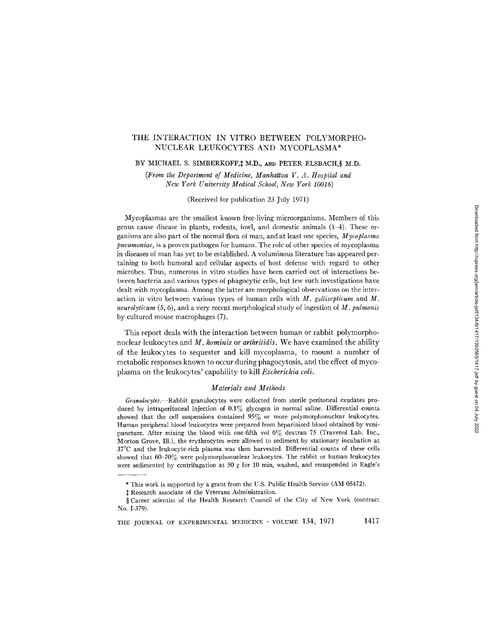# THE INTERACTION IN VITRO BETWEEN POLYMORPHO-NUCLEAR LEUKOCYTES AND MYCOPLASMA\*

BY MICHAEL S. SIMBERKOFF, I M.D., AND PETER ELSBACH, § M.D.

*(From the Department of Medicine, Manhattan V. A. Hospital and New York University Medical School, New York 10016)* 

(Received for publication 23 July 1971)

Mycoplasmas are the smallest known free-living microorganisms. Members of this genus cause disease in plants, rodents, fowl, and domestic animals (1-4). These organisms are also part of the normal flora of man, and at least one species, *Mycoplasma pneumoniae,* is a proven pathogen for humans. The role of other species of mycoplasma in diseases of man has yet to be established. A voluminous literature has appeared pertaining to both humoral and cellular aspects of host defense with regard to other microbes. Thus, numerous in vitro studies have been carried out of interactions between bacteria and various types of phagocytic cells, but few such investigations have dealt with mycoplasma. Among the latter are morphological observations on the interaction in vitro between various types of human cells with *M. gallisepticum* and M. *neurolyticum* (5, 6), and a very recent morphological study of ingestion of *M. pulmonis*  by cultured mouse macrophages (7).

This report deals with the interaction between human or rabbit polymorphonuclear leukocytes and *M. hominis* or *arthritidis.* We have examined the ability of the leukocytes to sequester and kill mycoplasma, to mount a number of metabolic responses known to occur during phagocytosis, and the effect of mycoplasma on the leukocytes' capability to kill *Escherichia coll.* 

# *Materials and Methods*

*Granulocytes.--Rabbit* granulocytes were collected from sterile peritoneal exudates produced by intraperitoneal injection of 0.1% glycogen in normal saline. Differential counts showed that the cell suspensions contained 95% or more polymorphonuclear leukocytes. Human peripheral blood leukocytes were prepared from heparinized blood obtained by venipuncture. After mixing the blood with one-fifth vol  $6\%$  dextran 75 (Travenol Lab. Inc., Morton Grove, Ill.), the erythrocytes were allowed to sediment by stationary incubation at 37°C and the leukocyte-rich plasma was then harvested. Differential counts of these cells showed that 60-70% were polymorphonuclear leukocytes. The rabbit or human leukocytes were sedimented by centrifugation at 50 g for 10 min, washed, and resuspended in Eagle's

<sup>\*</sup> This work is supported by a grant from the U.S. Public Health Service (AM 05472).

 $\ddagger$  Research associate of the Veterans Administration.

<sup>§</sup> Career scientist of the Health Research Council of the City of New York (contract No. 1-379).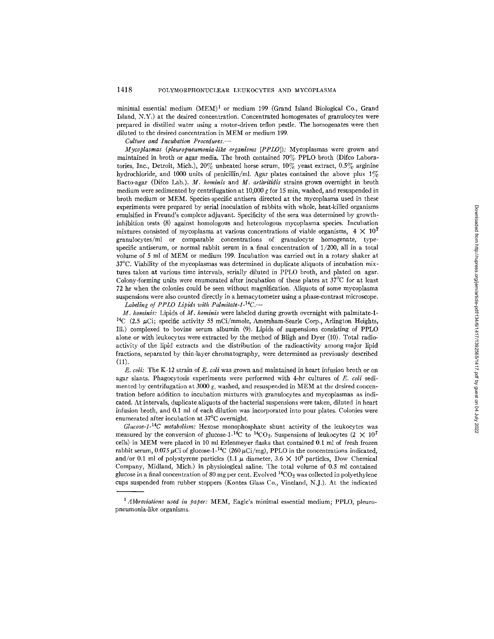minimal essential medium  $(MEM)^1$  or medium 199 (Grand Island Biological Co., Grand Island, N.Y.) at the desired concentration. Concentrated homogenates of granulocytes were prepared in distilled water using a motor-driven teflon pestle. The homogenates were then diluted to the desired concentration in MEM or medium 199.

*C~dture and Incubation Procedures.--* 

*Mycoplasmas (pleuropneumonia-like organisms [PPLO]):* Mycoplasmas were grown and maintained in broth or agar media. The broth contained 70% PPLO broth (Difco Laboratories, Inc., Detroit, Mich.),  $20\%$  unheated horse serum,  $10\%$  yeast extract,  $0.5\%$  arginine hydrochloride, and 1000 units of penicillin/ml. Agar plates contained the above plus  $1\%$ Bacto-agar (Difco Lab.). *M. hominis* and *M. arthritidis* strains grown overnight in broth medium were sedimented by centrifugation at 10,000 g for 15 min, washed, and resuspended in broth medium or MEM. Species-specific antisera directed at the mycoplasma used in these experiments were prepared by serial inoculation of rabbits with whole, heat-killed organisms emulsified in Freund's complete adjuvant. Specificity of the sera was determined by growthinhibition tests (8) against homologous and heterologous mycoplasma species. Incubation mixtures consisted of mycoplasma at various concentrations of viable organisms,  $4 \times 10^7$ granulocytes/ml or comparable concentrations of granulocyte homogenate, typespecific antiserum, or normal rabbit serum in a final concentration of 1/200, all in a total volume of 5 ml of MEM or medium 199. Incubation was carried out in a rotary shaker at  $37^{\circ}$ C. Viability of the mycoplasmas was determined in duplicate aliquots of incubation mixtures taken at various time intervals, serially diluted in PPLO broth, and plated on agar. Colony-forming units were enumerated after incubation of these plates at 37°C for at least 72 hr when the colonies could be seen without magnification. Aliquots of some mycoplasma suspensions were also counted directly in a hemacytometer using a phase-contrast microscope.

*Labeling of PPLO Lipids with Palmitate-l-14C.--* 

*M. hominis:* Lipids of *M. hominis* were labeled during growth overnight with palmitate-1- <sup>14</sup>C (2.5  $\mu$ Ci; specific activity 55 mCi/mmole, Amersham-Searle Corp., Arlington Heights, Ill.) complexed to bovine serum albumin (9). Lipids of suspensions consisting of PPLO alone or with leukocytes were extracted by the method of Bligh and Dyer (10). Total radioactivity of the lipid extracts and the distribution of the radioactivity among major lipid fractions, separated by thin-layer chromatography, were determined as previously described  $(11).$ 

*E. coli:* The K-12 strain of *E. coli* was grown and maintained in heart infusion broth or on agar slants. Phagocytosis experiments were performed with 4-hr cultures of *E. coli* sedimented by centrifugation at 3000  $g$ , washed, and resuspended in MEM at the desired concentration before addition to incubation mixtures with granulocytes and mycoplasmas as indicated. At intervals, duplicate aliquots of the bacterial suspensions were taken, diluted in heart infusion broth, and 0.1 ml of each dilution was incorporated into pour plates. Colonies were enumerated after incubation at 37°C overnight.

*Glucose-l-14C metabolism:* Hexose monophosphate shunt activity of the leukocytes was measured by the conversion of glucose-1-<sup>14</sup>C to <sup>14</sup>CO<sub>2</sub>. Suspensions of leukocytes (2  $\times$  10<sup>7</sup> cells) in MEM were placed in 10 ml Erlenmeyer flasks that contained 0.1 ml of fresh frozen rabbit serum, 0.075  $\mu$ Ci of glucose-1-<sup>14</sup>C (260  $\mu$ Ci/mg), PPLO in the concentrations indicated, and/or 0.1 ml of polystyrene particles (1.1  $\mu$  diameter, 3.6  $\times$  10<sup>9</sup> particles, Dow Chemical Company, Midland, Mich.) in physiological saline. The total volume of 0.5 mI contained glucose in a final concentration of 80 mg per cent. Evolved  ${}^{14}CO_2$  was collected in polyethylene cups suspended from rubber stoppers (Kontes Glass Co., Vineland, N.J.). At the indicated

*<sup>1</sup> Abbreviations used in paper:* MEM, Eagle's minimal essential medium; PPLO, pleuropneumonia-like organisms.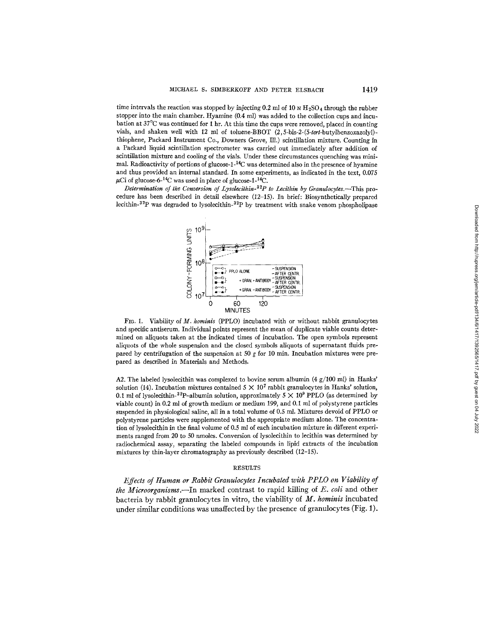time intervals the reaction was stopped by injecting 0.2 ml of 10  $\text{N H}_2\text{SO}_4$  through the rubber stopper into the main chamber. Hyamine (0.4 ml) was added to the collection cups and incubation at 37°C was continued for 1 hr. At this time the cups were removed, placed in counting vials, and shaken well with 12 ml of toluene-BBOT *(2,5-bis-2-(5-tert-butylbenzoxazolyl)*  thiophene, Packard Instrument Co., Downers Grove, IlL) scintillation mixture. Counting in a Packard liquid scintillation spectrometer was carried out immediately after addition of scintillation mixture and cooling of the vials. Under these circumstances quenching was minimal. Radioactivity of portions of glucose- $1^{-14}C$  was determined also in the presence of hyamine and thus provided an internal standard. In some experiments, as indicated in the text, *0.075*   $\mu$ Ci of glucose-6-<sup>14</sup>C was used in place of glucose-1-<sup>14</sup>C.

*Determination of the Conversion of Lysolecithin-*<sup>32</sup>P to Lecithin by Granulocytes.—This proeedure has been described in detail elsewhere (12-15). In brief: *Biosynthetically* prepared lecithin- $^{32}P$  was degraded to lysolecithin- $^{32}P$  by treatment with snake venom phospholipase



FIG. 1. Viability of *M. hominis* (PPLO) incubated with or without rabbit granulocytes and specific antiserum. Individual points represent the mean of duplicate viable counts determined on aliquots taken at the indicated times of incubation. The open symbols represent allquots of the whole suspension and the closed symbols aliquots of supernatant fluids prepared by centrifugation of the suspension at 50 g for 10 min. Incubation mixtures were prepared as described in Materials and Methods.

A2. The labeled lysolecithin was complexed to bovine serum albumin (4  $g/100$  ml) in Hanks' solution (14). Incubation mixtures contained  $5 \times 10^7$  rabbit granulocytes in Hanks' solution, 0.1 ml of lysolecithin-<sup>32</sup>P-albumin solution, approximately  $5 \times 10^9$  PPLO (as determined by viable count) in 0.2 ml of growth medium or medium 199, and 0.1 ml of polystyrene particles suspended in physiological saline, all in a total volume of 0.5 ml. Mixtures devoid of PPLO or polystyrene particles were supplemented with the appropriate medium alone. The concentration of lysolecithin in the final volume of 0.5 mI of each incubation mixture in different experiments ranged from 20 to 50 nmoles. Conversion of lysolecithin to lecithin was determined by radiochemical assay, separating the labeled compounds in lipid extracts of the incubation mixtures by thin-layer chromatography as previously described (12-15).

### RESULTS

*Effects of Human or Rabbit Granulocytes Incubated with PPLO on Viability of the Microorganisms.--In* marked contrast to rapid killing of E. *coli* and other bacteria by rabbit granulocytes in vitro, the viability of *M. hominis* incubated under similar conditions was unaffected by the presence of granulocytes (Fig. 1).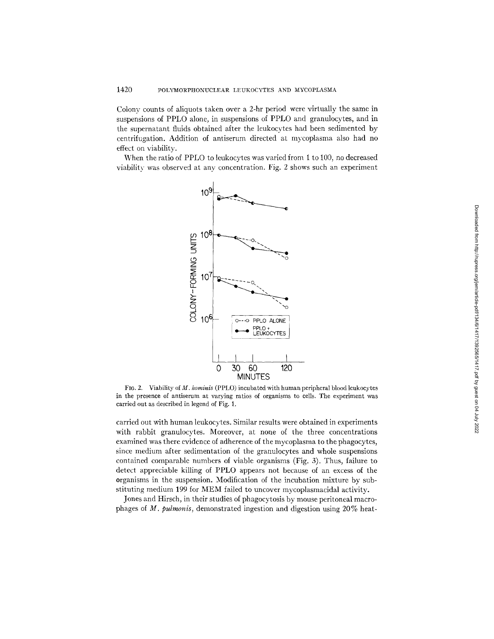Colony counts of aliquots taken over a 2-hr period were virtually the same in suspensions of PPLO alone, in suspensions of PPLO and granulocytes, and in the supernatant fluids obtained after the leukoeytes had been sedimented by centrifugation. Addition of antiserum directed at mycoplasma also had no effect on viability.

When the ratio of PPLO to leukocytes was varied from 1 to 100, no decreased viability was observed at any concentration. Fig. 2 shows such an experiment



FIG. 2. Viability of *M. hominis* (PPLO) incubated with human peripheral blood leukocytes in the presence of antiserum at varying ratios of organisms to cells. The experiment was carried out as described in legend of Fig. 1.

carried out with human leukocytes. Similar results were obtained in experiments with rabbit granulocytes. Moreover, at none of the three concentrations examined was there evidence of adherence of the mycoplasma to the phagocytes, since medium after sedimentation of the granulocytes and whole suspensions contained comparable numbers of viable organisms (Fig. 3). Thus, failure to detect appreciable killing of PPLO appears not because of an excess of the organisms in the suspension. Modification of the incubation mixture by substituting medium 199 for MEM failed to uncover myeoplasmacidal activity.

Jones and Hirsch, in their studies of phagocytosis by mouse peritoneal macrophages of *M. pulmonis,* demonstrated ingestion and digestion using 20% heat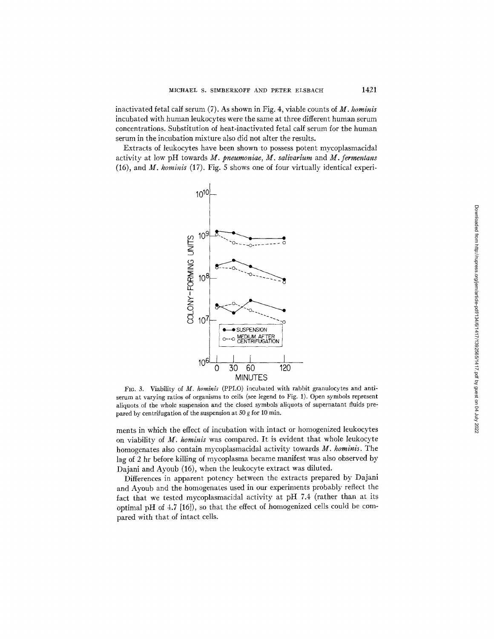inactivated fetal calf serum (7). As shown in Fig. 4, viable counts of *M. hominis*  incubated with human leukocytes were the same at three different human serum concentrations. Substitution of heat-inactivated fetal calf serum for the human serum in the incubation mixture also did not alter the results.

Extracts of leukocytes have been shown to possess potent mycoplasmacidal activity at low pH towards *M. pneumoniae, M. salivarium* and *M. fermentans*  (16), and *M. hominis* (17). Fig. 5 shows one of four virtually identical experi-



FIG. 3. Viability of *M. hominis* (PPLO) incubated with rabbit granulocytes and antiserum at varying ratios of organisms to cells (see legend to Fig. 1). Open symbols represent aliquots of the whole suspension and the closed symbols aliquots of supernatant fluids prepared by centrifugation of the suspension at 50  $g$  for 10 min.

ments in which the effect of incubation with intact or homogenized leukocytes on viability of *M. hominis* was compared. It is evident that whole leukocyte homogenates also contain mycoplasmacidal activity towards *M. hominis.* The lag of 2 hr before killing of mycoplasma became manifest was also observed by Dajani and Ayoub (16), when the leukocyte extract was diluted.

Differences in apparent potency between the extracts prepared by Dajani and Ayoub and the homogenates used in our experiments probably reflect the fact that we tested mycoplasmacidal activity at pH 7.4 (rather than at its optimal pH of 4.7 [16]), so that the effect of homogenized cells could be compared with that of intact cells.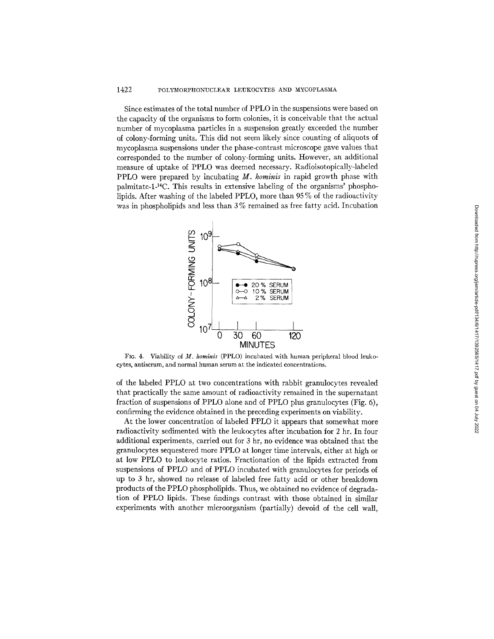Since estimates of the total number of PPLO in the suspensions were based on the capacity of the organisms to form colonies, it is conceivable that the actual number of mycoplasma particles in a suspension greatly exceeded the number of colony-forming units. This did not seem likely since counting of aliquots of mycoplasma suspensions under the phase-contrast microscope gave values that corresponded to the number of colony-forming units. However, an additional measure of uptake of PPLO was deemed necessary. Radioisotopically-labeled PPLO were prepared by incubating *M. hominis* in rapid growth phase with palmitate-l-14C. This results in extensive labeling of the organisms' phospholipids. After washing of the labeled PPLO, more than 95 % of the radioactivity was in phospholipids and less than 3% remained as free fatty acid. Incubation



FIG. 4. Viability of *M. hominis* (PPLO) incubated with human peripheral blood leukocytes, antiserum, and normal human serum at the indicated concentrations.

of the labeled PPLO at two concentrations with rabbit granulocytes revealed that practically the same amount of radioactivity remained in the supernatant fraction of suspensions of PPLO alone and of PPLO plus granulocytes (Fig. 6), confirming the evidence obtained in the preceding experiments on viability.

At the lower concentration of labeled PPLO it appears that somewhat more radioactivity sedimented with the leukocytes after incubation for 2 hr. In four additional experiments, carried out for 3 hr, no evidence was obtained that the granulocytes sequestered more PPLO at longer time intervals, either at high or at low PPLO to leukocyte ratios. Fractionation of the lipids extracted from suspensions of PPLO and of PPLO incubated with granulocytes for periods of up to 3 hr, showed no release of labeled free fatty acid or other breakdown products of the PPLO phospholipids. Thus, we obtained no evidence of degradation of PPLO lipids. These findings contrast with those obtained in similar experiments with another microorganism (partially) devoid of the cell wall,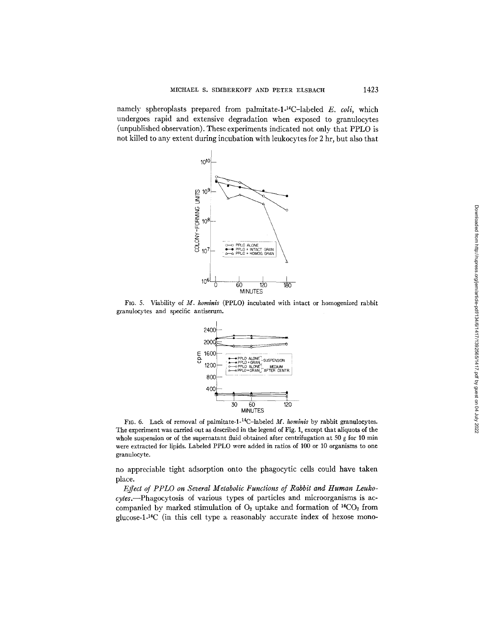namely spheroplasts prepared from palmitate-1-<sup>14</sup>C-labeled *E. coli*, which undergoes rapid and extensive degradation when exposed to granulocytes (unpublished observation). These experiments indicated not only that PPLO is not killed to any extent during incubation with leukocytes for 2 hr, but also that



FIG. 5. Viability of *M. hominis* (PPLO) incubated with intact or homogenized rabbit granulocytes and specific antiserum.



FIG. 6. Lack of removal of palmitate-1-<sup>14</sup>C-labeled *M. hominis* by rabbit granulocytes. The experiment was carried out as described in the legend of Fig. 1, except that aliquots of the whole suspension or of the supernatant fluid obtained after centrifugation at 50  $g$  for 10 min were extracted for lipids. Labeled PPLO were added in ratios of 100 or 10 organisms to one granulocy te.

no appreciable tight adsorption onto the phagocytic cells could have taken place.

*Effect of PPLO on Several Metabolic Functions of Rabbit and Human Leukocytes.--Phagocytosis* of various types of particles and microorganisms is accompanied by marked stimulation of  $O_2$  uptake and formation of  $^{14}CO_2$  from glucose-l-14C (in this cell type a reasonably accurate index of hexose mono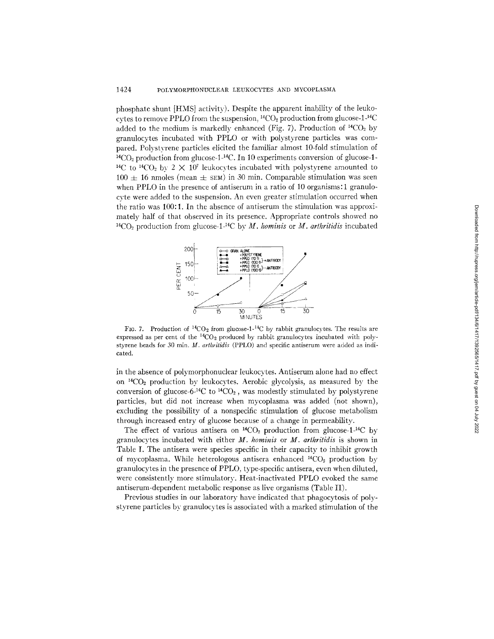phosphate shunt [HMS] activity). Despite the apparent inability of the leukocytes to remove PPLO from the suspension,  ${}^{14}CO_2$  production from glucose-1- ${}^{14}C$ added to the medium is markedly enhanced (Fig. 7). Production of  $^{14}CO_2$  by granulocytes incubated with PPLO or with polystyrene particles was compared. Polystyrene particles elicited the familiar almost 10-fold stimulation of  $^{14}CO<sub>2</sub>$  production from glucose-1- $^{14}C$ . In 10 experiments conversion of glucose-1-<sup>14</sup>C to <sup>14</sup>CO<sub>2</sub> by 2  $\times$  10<sup>7</sup> leukocytes incubated with polystyrene amounted to  $100 \pm 16$  nmoles (mean  $\pm$  sEM) in 30 min. Comparable stimulation was seen when PPLO in the presence of antiserum in a ratio of 10 organisms: 1 granulocvte were added to the suspension. An even greater stimulation occurred when the ratio was 100:1. In the absence of antiserum the stimulation was approximately half of that observed in its presence. Appropriate controls showed no  $^{14}CO<sub>2</sub>$  production from glucose-1<sup>-14</sup>C by *M. hominis* or *M. arthritidis* incubated



FIG. 7. Production of  ${}^{14}CO_2$  from glucose-1-<sup>14</sup>C by rabbit granulocytes. The results are expressed as per cent of the  ${}^{14}CO_2$  produced by rabbit granulocytes incubated with polystyrene beads for 30 min. *M. arthritidls* (PPLO) and specific antiserum were added as indicated.

in the absence of polymorphonuclear leukocytes. Antiserum alone had no effect on  ${}^{14}CO_2$  production by leukocytes. Aerobic glycolysis, as measured by the conversion of glucose-6-<sup>14</sup>C to <sup>14</sup>CO<sub>2</sub>, was modestly stimulated by polystyrene particles, but did not increase when mycoplasma was added (not shown), excluding the possibility of a nonspecific stimulation of glucose metabolism through increased entry of glucose because of a change in permeability.

The effect of various antisera on  $^{14}CO_2$  production from glucose-1<sup>-14</sup>C by granulocytes incubated with either *M. hominis* or *M. arlhritidis* is shown in Table I. The antisera were species specific in their capacity to inhibit growth of mycoplasma. While heterologous antisera enhanced  $^{14}CO_{2}$  production by granulocytes in the presence of PPLO, type-specific antisera, even when diluted, were consistently more stimulatory. Heat-inactivated PPLO evoked the same antiserum-dependent metabolic response as live organisms (Table II).

Previous studies in our laboratory have indicated that phagocytosis of polystyrene particles by granulocytes is associated with a marked stimulation of the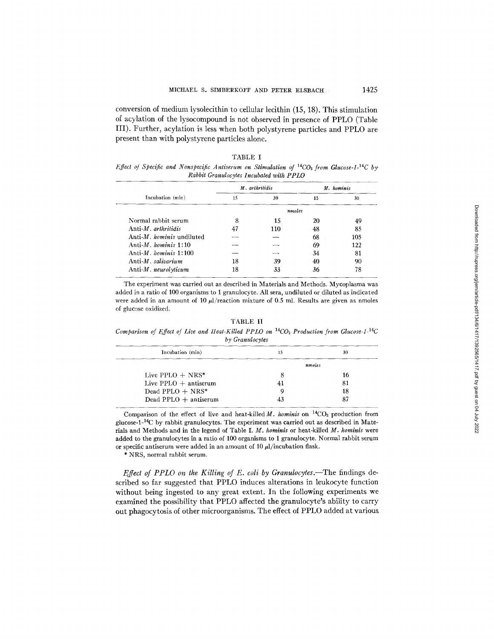conversion of medium lysolecithin to cellular lecithin (15, 18). This stimulation of acylation of the lysocompound is not observed in presence of PPLO (Table III). Further, acylation is less when both polystyrene particles and PPLO are present than with polystyrene particles alone.

| TABLE I                                                                                          |  |  |  |  |  |  |
|--------------------------------------------------------------------------------------------------|--|--|--|--|--|--|
| Effect of Specific and Nonspecific Antiserum on Stimulation of $^{14}CO_2$ from Glucose-1-14C by |  |  |  |  |  |  |
| Rabbit Granulocytes Incubated with PPIO                                                          |  |  |  |  |  |  |

|                                | M. arthritidis |        | M. hominis |     |
|--------------------------------|----------------|--------|------------|-----|
| Incubation (min)               | 15             | 30     | 15         | 30  |
|                                |                | nmoles |            |     |
| Normal rabbit serum            | 8              | 15     | 20         | 49  |
| $Anti-M.$ arthritidis          | 47             | 110    | 48         | 85  |
| Anti- $M$ , hominis undiluted  |                |        | 68         | 105 |
| Anti- <i>M.</i> hominis $1:10$ |                |        | 69         | 122 |
| Anti- $M.$ hominis 1:100       |                |        | 34         | 81  |
| Anti-M. salivarium             | 18             | 39     | 40         | 90  |
| Anti-M. neurolyticum           | 18             | 33     | 36         | 78  |

The experiment was carried out as described in Materials and Methods. Mycoplasma was added in a ratio of 100 organisms to 1 granulocyte. All sera, undiluted or diluted as indicated were added in an amount of 10  $\mu$ /reaction mixture of 0.5 ml. Results are given as nmoles of glucose oxidized.

TABLE II

*Comparison of Effect of Live and Heat-Killed PPLO on 14C02 Production from Glucose-l-14C by Granulocytes* 

| 15 | 30     |  |  |  |  |  |
|----|--------|--|--|--|--|--|
|    | nmoles |  |  |  |  |  |
|    | 16     |  |  |  |  |  |
|    | 81     |  |  |  |  |  |
|    | 18     |  |  |  |  |  |
|    | 87     |  |  |  |  |  |
|    |        |  |  |  |  |  |

Comparison of the effect of live and heat-killed  $M$ . hominis on <sup>14</sup>CO<sub>2</sub> production from glucose-1-<sup>14</sup>C by rabbit granulocytes. The experiment was carried out as described in Materials and Methods and in the legend of Table *I. M. hominis* or heat-killed *M. homlnis* were added to the granulocytes in a ratio of 100 organisms to 1 granulocyte. Normal rabbit serum or specific antiserum were added in an amount of 10  $\mu$ l/incubation flask.

\* NRS, normal rabbit serum.

*Effect of PPLO on the Killing of E. coli by Granulocytes.*—The findings described so far suggested that PPLO induces alterations in leukocyte function without being ingested to any great extent. In the following experiments we examined the possibility that PPLO affected the granulocyte's ability to carry out phagocytosis of other microorganisms. The effect of PPLO added at various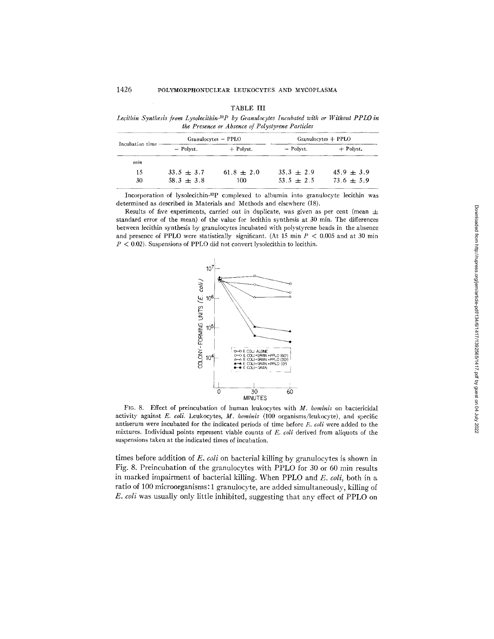| <b>FARLE</b> |  |
|--------------|--|
|--------------|--|

*Lecithin Synthesis from Lysolecithin-3~P by Granulocytes Incubated with or Without PPLO in lhe Presence or Absence of Polystyrene Particles* 

|                 | Granulocytes - PPLO |                |              | $Granulocytes + PPLO$ |
|-----------------|---------------------|----------------|--------------|-----------------------|
| Incubation time | - Polyst.           | $+$ Polyst.    | - Polyst.    | $+$ Polyst.           |
| m:n             |                     |                |              |                       |
| 15              | $33.5 + 3.7$        | $61.8 \pm 2.0$ | $35.3 + 2.9$ | $45.9 + 3.9$          |
| 30.             | $58.3 \pm 3.8$      | 100            | $53.5 + 2.5$ | $73.6 \pm 5.9$        |

Incorporation of lysolecithin-32P complexed to albumin into granulocyte lecithin was determined as described in Materials and Methods and elsewhere (18).

Results of five experiments, carried out in duplicate, was given as per cent (mean  $\pm$ standard error of the mean) of the value for lecithin synthesis at 30 min. The differences between lecithin synthesis by granulocytes incubated with polystyrene beads in the absence and presence of PPLO were statistically significant. (At 15 min  $P < 0.005$  and at 30 min  $P < 0.02$ ). Suspensions of PPLO did not convert lysolecithin to lecithin.



FIG. 8. Effect of preincubation of human leukocytes with *M. hominis* on bactericidal activity against *E. coli.* Leukocytes, *M. hominis* (100 organisms/leukocyte), and specific antiserum were incubated for the indicated periods of time before *E. toll* were added to the mixtures. Individual points represent viable counts of *E. coli* derived from aliquots of the suspensions taken at the indicated times of incubation.

times before addition of *E. coli* on bacterial killing by granulocytes is shown in Fig. 8. Preincubation of the granulocytes with PPLO for 30 or 60 min results in marked impairment of bacterial killing. When PPLO and *E. coli,* both in a ratio of 100 microorganisms: 1 granulocyte, are added simultaneously, killing of *E. coil* was usually only little inhibited, suggesting that any effect of PPLO on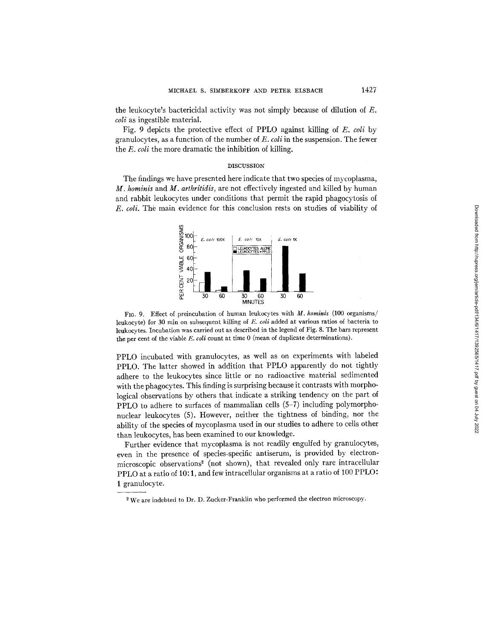the leukocyte's bactericidal activity was not simply because of dilution of E. *coil* as ingestible material.

Fig. 9 depicts the protective effect of PPLO against killing of *E. coli* by granulocytes, as a function of the number of *E. coli* in the suspension. The fewer the *E. coli* the more dramatic the inhibition of killing.

## DISCUSSION

The findings we have presented here indicate that two species of mycoplasma, *M. hominis* and *M. arthritidis,* are not effectively ingested and killed by human and rabbit leukocytes under conditions that permit the rapid phagocytosis of *E. coli.* The main evidence for this conclusion rests on studies of viability of



FIO. 9. Effect of preincubation of human leukocytes with *M. hominis* (100 organisms/ leukocyte) for 30 min on subsequent killing of *E. coli* added at various ratios of bacteria to leukocytes. Incubation was carried out as described in the legend of Fig. 8. The bars represent the per cent of the viable *E. coli* count at time 0 (mean of duplicate determinations).

PPLO incubated with granulocytes, as well as on experiments with labeled PPLO. The latter showed in addition that PPLO apparently do not tightly adhere to the leukocytes since little or no radioactive material sedimented with the phagocytes. This finding is surprising because it contrasts with morphological observations by others that indicate a striking tendency on the part of PPLO to adhere to surfaces of mammalian cells (5-7) including polymorphonuclear leukocytes (5). However, neither the tightness of binding, nor the ability of the species of mycoplasma used in our studies to adhere to cells other than leukocytes, has been examined to our knowledge.

Further evidence that mycoplasma is not readily engulfed by granulocytes, even in the presence of species-specific antiserum, is provided by electronmicroscopic observations<sup>2</sup> (not shown), that revealed only rare intracellular PPLO at a ratio of 10:1, and few intracellular organisms at a ratio of 100 PPLO: 1 granulocyte.

<sup>&</sup>lt;sup>2</sup> We are indebted to Dr. D. Zucker-Franklin who performed the electron microscopy.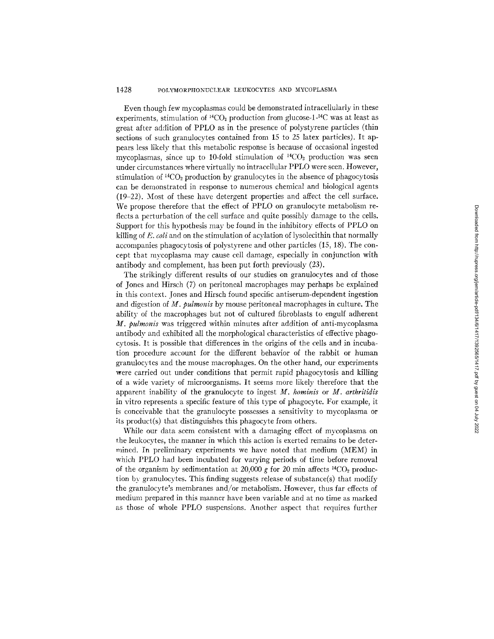## 1428 POLYMORPHONUCLEAR LEUKOCYTES AND MYCOPLASMA

Even though few mycoplasmas could be demonstrated intracellularly in these experiments, stimulation of  ${}^{14}CO_2$  production from glucose-1-<sup>14</sup>C was at least as great after addition of PPLO as in the presence of polystyrene particles (thin sections of such granulocytes contained from 15 to 25 latex particles). It appears less likely that this metabolic response is because of occasional ingested mycoplasmas, since up to 10-fold stimulation of  ${}^{14}CO_2$  production was seen under circumstances where virtually no intracellular PPLO were seen. However, stimulation of  ${}^{14}CO_2$  production by granulocytes in the absence of phagocytosis can be demonstrated in response to numerous chemical and biological agents (19-22). Most of these have detergent properties and affect the cell surface. We propose therefore that the effect of PPLO on granulocyte metabolism reflects a perturbation of the cell surface and quite possibly damage to the cells. Support for this hypothesis may be found in the inhibitory effects of PPLO on killing of *E. coli* and on the stimulation of acylation of lysolecithin that normally accompanies phagocytosis of polystyrene and other particles (15, 18). The concept that mycoplasma may cause cell damage, especially in conjunction with antibody and complement, has been put forth previously (23).

The strikingly different results of our studies on granulocytes and of those of Jones and Hirsch (7) on peritoneal macrophages may perhaps be explained in this context. Jones and Hirsch found specific antiserum-dependent ingestion and digestion of *M. pulmonis* by mouse peritoneal macrophages in culture. The ability of the macrophages but not of cultured fibroblasts to engulf adherent *M. pulmonis* was triggered within minutes after addition of anti-mycoplasma antibody and exhibited all the morphological characteristics of effective phagocytosis. It is possible that differences in the origins of the cells and in incubation procedure account for the different behavior of the rabbit or human granulocytes and the mouse macrophages. On the other hand, our experiments were carried out under conditions that permit rapid phagocytosis and killing of a wide variety of microorganisms. It seems more likely therefore that the apparent inability of the granulocyte to ingest *M. hominis* or *M. arthrilidis*  in vitro represents a specific feature of this type of phagocyte. For example, it is conceivable that the granulocyte possesses a sensitivity to mycoplasma or its product(s) that distinguishes this phagocyte from others.

While our data seem consistent with a damaging effect of mycoplasma on the leukocytes, the manner in which this action is exerted remains to be determined. In preliminary experiments we have noted that medium (MEM) in which PPLO had been incubated for varying periods of time before removal of the organism by sedimentation at 20,000 g for 20 min affects  $^{14}CO_2$  production by granulocytes. This finding suggests release of substance(s) that modify the granulocyte's membranes and/or metabolism. However, thus far effects of medium prepared in this manner have been variable and at no time as marked as those of whole PPLO suspensions. Another aspect that requires further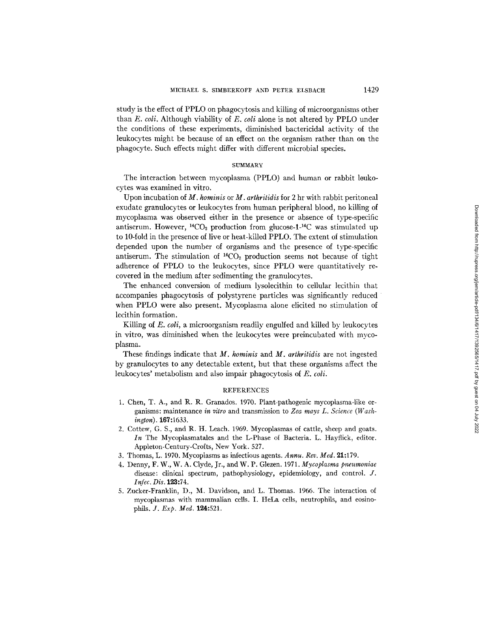study is the effect of PPLO on phagocytosis and killing of microorganisms other than *E. coli.* Although viability of *E. coli* alone is not altered by PPLO under the conditions of these experiments, diminished bactericidal activity of the leukocytes might be because of an effect on the organism rather than on the phagocyte. Such effects might differ with different microbial species.

# **SUMMARY**

The interaction between mycoplasma (PPLO) and human or rabbit loukocytes was examined in vitro.

Upon incubation of *M. hominis* or *M. arthritidis* for 2 hr with rabbit peritoneal exudate granulocytes or leukocytes from human peripheral blood, no killing of mycoplasma was observed either in the presence or absence of type-specific antiserum. However,  $^{14}CO_2$  production from glucose-1- $^{14}C$  was stimulated up to 10-fold in the presence of live or heat-killed PPLO. The extent of stimulation depended upon the number of organisms and the presence of type-specific antiserum. The stimulation of  ${}^{14}CO_2$  production seems not because of tight adherence of PPLO to the leukocytes, since PPLO were quantitatively recovered in the medium after sedimenting the granulocytes.

The enhanced conversion of medium lysolecithin to cellular lecithin that accompanies phagocytosis of polystyrene particles was significantly reduced when PPLO were also present. Mycoplasma alone elicited no stimulation of lecithin formation.

Killing of *E. toll, a* microorganism readily engulfed and killed by leukocytes in vitro, was diminished when the leukocytes were preincubated with mycoplasma.

These findings indicate that *M. hominis* and *M. arthritidis* are not ingested by granulocytes to any detectable extent, but that these organisms affect the leukocytes' metabolism and also impair phagocytosis of *E. coll.* 

# REFERENCES

- 1. Chen, T. A., and R. R. Granados. 1970. Plant-pathogenic mycoplasma-like organisms: maintenance *in vitro* and transmission to *Zea mays L. Science (Washington).* 167:1633.
- 2. Cottew, G. S., and R. H. Leach. 1969. Mycoplasmas of cattle, sheep and goats. *In* The Mycoplasmatales and the L-Phase of Bacteria. L. Hayflick, editor. Appleton-Century-Crofts, New York. 527.
- 3. Thomas, L. 1970. Mycoplasms as infectious agents. *Annu. Rev. Med.* 9.1:179.
- 4. Denny, F. W., W. A. Clyde, Jr., and W. P. Glezen. 1971. *Mycoplasma pneumoniae* disease: clinical spectrum, pathophysiology, epidemiology, and control. J. *Infec. Dis.* 123:74.
- 5. Zucker-Franklin, D., M. Davidson, and L. Thomas. 1966. The interaction of mycoplasmas with mammalian cells. I. HeLa cells, neutrophils, and eosinophils. *J. Exp. Med.* 124:521.